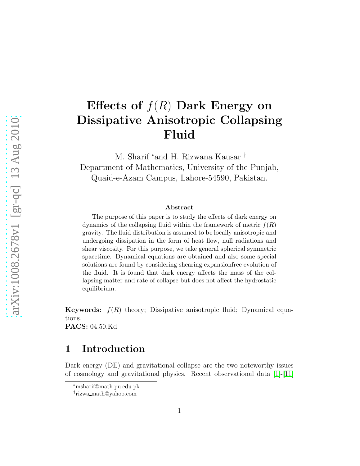# Effects of  $f(R)$  Dark Energy on Dissipative Anisotropic Collapsing Fluid

M. Sharif <sup>∗</sup>and H. Rizwana Kausar † Department of Mathematics, University of the Punjab, Quaid-e-Azam Campus, Lahore-54590, Pakistan.

#### Abstract

The purpose of this paper is to study the effects of dark energy on dynamics of the collapsing fluid within the framework of metric  $f(R)$ gravity. The fluid distribution is assumed to be locally anisotropic and undergoing dissipation in the form of heat flow, null radiations and shear viscosity. For this purpose, we take general spherical symmetric spacetime. Dynamical equations are obtained and also some special solutions are found by considering shearing expansionfree evolution of the fluid. It is found that dark energy affects the mass of the collapsing matter and rate of collapse but does not affect the hydrostatic equilibrium.

**Keywords:**  $f(R)$  theory; Dissipative anisotropic fluid; Dynamical equations. PACS: 04.50.Kd

## 1 Introduction

Dark energy (DE) and gravitational collapse are the two noteworthy issues of cosmology and gravitational physics. Recent observational data [\[1\]](#page-13-0)-[\[11\]](#page-14-0)

<sup>∗</sup>msharif@math.pu.edu.pk

<sup>†</sup> rizwa math@yahoo.com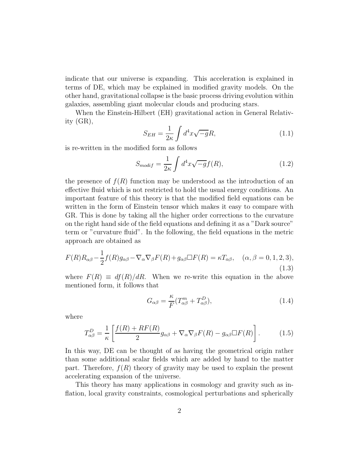indicate that our universe is expanding. This acceleration is explained in terms of DE, which may be explained in modified gravity models. On the other hand, gravitational collapse is the basic process driving evolution within galaxies, assembling giant molecular clouds and producing stars.

When the Einstein-Hilbert (EH) gravitational action in General Relativity (GR),

$$
S_{EH} = \frac{1}{2\kappa} \int d^4x \sqrt{-g}R,\tag{1.1}
$$

is re-written in the modified form as follows

$$
S_{modif} = \frac{1}{2\kappa} \int d^4x \sqrt{-g} f(R), \qquad (1.2)
$$

the presence of  $f(R)$  function may be understood as the introduction of an effective fluid which is not restricted to hold the usual energy conditions. An important feature of this theory is that the modified field equations can be written in the form of Einstein tensor which makes it easy to compare with GR. This is done by taking all the higher order corrections to the curvature on the right hand side of the field equations and defining it as a "Dark source" term or "curvature fluid". In the following, the field equations in the metric approach are obtained as

<span id="page-1-0"></span>
$$
F(R)R_{\alpha\beta} - \frac{1}{2}f(R)g_{\alpha\beta} - \nabla_{\alpha}\nabla_{\beta}F(R) + g_{\alpha\beta}\Box F(R) = \kappa T_{\alpha\beta}, \quad (\alpha, \beta = 0, 1, 2, 3),
$$
\n(1.3)

where  $F(R) \equiv df(R)/dR$ . When we re-write this equation in the above mentioned form, it follows that

$$
G_{\alpha\beta} = \frac{\kappa}{F} (T_{\alpha\beta}^m + T_{\alpha\beta}^D), \qquad (1.4)
$$

where

$$
T_{\alpha\beta}^D = \frac{1}{\kappa} \left[ \frac{f(R) + RF(R)}{2} g_{\alpha\beta} + \nabla_\alpha \nabla_\beta F(R) - g_{\alpha\beta} \Box F(R) \right]. \tag{1.5}
$$

In this way, DE can be thought of as having the geometrical origin rather than some additional scalar fields which are added by hand to the matter part. Therefore,  $f(R)$  theory of gravity may be used to explain the present accelerating expansion of the universe.

This theory has many applications in cosmology and gravity such as inflation, local gravity constraints, cosmological perturbations and spherically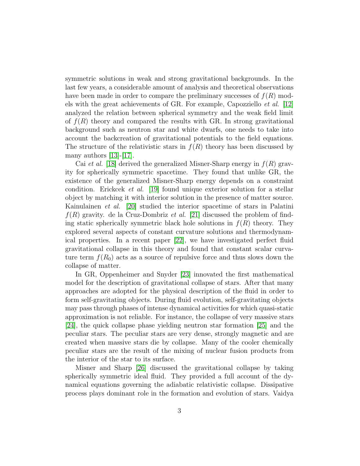symmetric solutions in weak and strong gravitational backgrounds. In the last few years, a considerable amount of analysis and theoretical observations have been made in order to compare the preliminary successes of  $f(R)$  models with the great achievements of GR. For example, Capozziello et al. [\[12\]](#page-14-1) analyzed the relation between spherical symmetry and the weak field limit of  $f(R)$  theory and compared the results with GR. In strong gravitational background such as neutron star and white dwarfs, one needs to take into account the backcreation of gravitational potentials to the field equations. The structure of the relativistic stars in  $f(R)$  theory has been discussed by many authors  $[13]-[17]$  $[13]-[17]$ .

Cai *et al.* [\[18\]](#page-14-4) derived the generalized Misner-Sharp energy in  $f(R)$  gravity for spherically symmetric spacetime. They found that unlike GR, the existence of the generalized Misner-Sharp energy depends on a constraint condition. Erickcek *et al.* [\[19\]](#page-14-5) found unique exterior solution for a stellar object by matching it with interior solution in the presence of matter source. Kainulainen et al. [\[20\]](#page-14-6) studied the interior spacetime of stars in Palatini  $f(R)$  gravity. de la Cruz-Dombriz *et al.* [\[21\]](#page-14-7) discussed the problem of finding static spherically symmetric black hole solutions in  $f(R)$  theory. They explored several aspects of constant curvature solutions and thermodynamical properties. In a recent paper [\[22\]](#page-14-8), we have investigated perfect fluid gravitational collapse in this theory and found that constant scalar curvature term  $f(R_0)$  acts as a source of repulsive force and thus slows down the collapse of matter.

In GR, Oppenheimer and Snyder [\[23\]](#page-14-9) innovated the first mathematical model for the description of gravitational collapse of stars. After that many approaches are adopted for the physical description of the fluid in order to form self-gravitating objects. During fluid evolution, self-gravitating objects may pass through phases of intense dynamical activities for which quasi-static approximation is not reliable. For instance, the collapse of very massive stars [\[24\]](#page-14-10), the quick collapse phase yielding neutron star formation [\[25\]](#page-14-11) and the peculiar stars. The peculiar stars are very dense, strongly magnetic and are created when massive stars die by collapse. Many of the cooler chemically peculiar stars are the result of the mixing of nuclear fusion products from the interior of the star to its surface.

Misner and Sharp [\[26\]](#page-14-12) discussed the gravitational collapse by taking spherically symmetric ideal fluid. They provided a full account of the dynamical equations governing the adiabatic relativistic collapse. Dissipative process plays dominant role in the formation and evolution of stars. Vaidya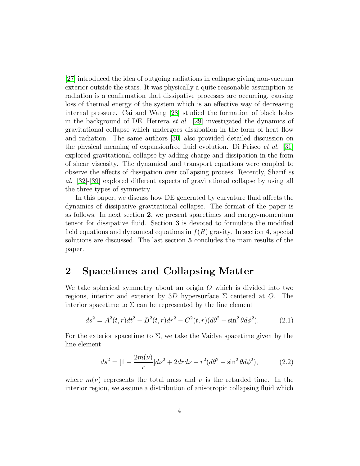[\[27\]](#page-14-13) introduced the idea of outgoing radiations in collapse giving non-vacuum exterior outside the stars. It was physically a quite reasonable assumption as radiation is a confirmation that dissipative processes are occurring, causing loss of thermal energy of the system which is an effective way of decreasing internal pressure. Cai and Wang [\[28\]](#page-14-14) studied the formation of black holes in the background of DE. Herrera *et al.* [\[29\]](#page-14-15) investigated the dynamics of gravitational collapse which undergoes dissipation in the form of heat flow and radiation. The same authors [\[30\]](#page-14-16) also provided detailed discussion on the physical meaning of expansionfree fluid evolution. Di Prisco et al. [\[31\]](#page-15-0) explored gravitational collapse by adding charge and dissipation in the form of shear viscosity. The dynamical and transport equations were coupled to observe the effects of dissipation over collapsing process. Recently, Sharif et al. [\[32\]](#page-15-1)-[\[39\]](#page-15-2) explored different aspects of gravitational collapse by using all the three types of symmetry.

In this paper, we discuss how DE generated by curvature fluid affects the dynamics of dissipative gravitational collapse. The format of the paper is as follows. In next section 2, we present spacetimes and energy-momentum tensor for dissipative fluid. Section 3 is devoted to formulate the modified field equations and dynamical equations in  $f(R)$  gravity. In section 4, special solutions are discussed. The last section 5 concludes the main results of the paper.

## 2 Spacetimes and Collapsing Matter

We take spherical symmetry about an origin  $O$  which is divided into two regions, interior and exterior by 3D hypersurface  $\Sigma$  centered at O. The interior spacetime to  $\Sigma$  can be represented by the line element

$$
ds^{2} = A^{2}(t, r)dt^{2} - B^{2}(t, r)dr^{2} - C^{2}(t, r)(d\theta^{2} + \sin^{2}\theta d\phi^{2}).
$$
 (2.1)

For the exterior spacetime to  $\Sigma$ , we take the Vaidya spacetime given by the line element

$$
ds^{2} = [1 - \frac{2m(\nu)}{r}]d\nu^{2} + 2dr d\nu - r^{2}(d\theta^{2} + \sin^{2}\theta d\phi^{2}), \qquad (2.2)
$$

where  $m(\nu)$  represents the total mass and  $\nu$  is the retarded time. In the interior region, we assume a distribution of anisotropic collapsing fluid which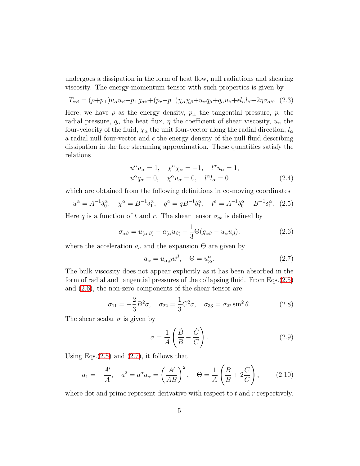undergoes a dissipation in the form of heat flow, null radiations and shearing viscosity. The energy-momentum tensor with such properties is given by

$$
T_{\alpha\beta} = (\rho + p_{\perp})u_{\alpha}u_{\beta} - p_{\perp}g_{\alpha\beta} + (p_r - p_{\perp})\chi_{\alpha}\chi_{\beta} + u_{\alpha}q_{\beta} + q_{\alpha}u_{\beta} + \epsilon l_{\alpha}l_{\beta} - 2\eta\sigma_{\alpha\beta}.
$$
 (2.3)

Here, we have  $\rho$  as the energy density,  $p_{\perp}$  the tangential pressure,  $p_r$  the radial pressure,  $q_{\alpha}$  the heat flux,  $\eta$  the coefficient of shear viscosity,  $u_{\alpha}$  the four-velocity of the fluid,  $\chi_{\alpha}$  the unit four-vector along the radial direction,  $l_{\alpha}$ a radial null four-vector and  $\epsilon$  the energy density of the null fluid describing dissipation in the free streaming approximation. These quantities satisfy the relations

$$
u^{\alpha}u_{\alpha} = 1, \quad \chi^{\alpha}\chi_{\alpha} = -1, \quad l^{\alpha}u_{\alpha} = 1,
$$
  

$$
u^{\alpha}q_{\alpha} = 0, \quad \chi^{\alpha}u_{\alpha} = 0, \quad l^{\alpha}l_{\alpha} = 0
$$
 (2.4)

which are obtained from the following definitions in co-moving coordinates

<span id="page-4-0"></span>
$$
u^{\alpha} = A^{-1} \delta_0^{\alpha}, \quad \chi^{\alpha} = B^{-1} \delta_1^{\alpha}, \quad q^a = q B^{-1} \delta_1^{\alpha}, \quad l^a = A^{-1} \delta_0^{\alpha} + B^{-1} \delta_1^{\alpha}.
$$
 (2.5)

Here q is a function of t and r. The shear tensor  $\sigma_{ab}$  is defined by

<span id="page-4-1"></span>
$$
\sigma_{\alpha\beta} = u_{(\alpha;\beta)} - a_{(\alpha}u_{\beta)} - \frac{1}{3}\Theta(g_{\alpha\beta} - u_{\alpha}u_{\beta}), \qquad (2.6)
$$

where the acceleration  $a_a$  and the expansion  $\Theta$  are given by

<span id="page-4-2"></span>
$$
a_{\alpha} = u_{\alpha;\beta}u^{\beta}, \quad \Theta = u^{\alpha}_{;\alpha}.
$$
 (2.7)

The bulk viscosity does not appear explicitly as it has been absorbed in the form of radial and tangential pressures of the collapsing fluid. From Eqs.[\(2.5\)](#page-4-0) and [\(2.6\)](#page-4-1), the non-zero components of the shear tensor are

$$
\sigma_{11} = -\frac{2}{3}B^2\sigma, \quad \sigma_{22} = \frac{1}{3}C^2\sigma, \quad \sigma_{33} = \sigma_{22}\sin^2\theta. \tag{2.8}
$$

The shear scalar  $\sigma$  is given by

<span id="page-4-3"></span>
$$
\sigma = \frac{1}{A} \left( \frac{\dot{B}}{B} - \frac{\dot{C}}{C} \right). \tag{2.9}
$$

Using Eqs. $(2.5)$  and  $(2.7)$ , it follows that

<span id="page-4-4"></span>
$$
a_1 = -\frac{A'}{A}, \quad a^2 = a^\alpha a_\alpha = \left(\frac{A'}{AB}\right)^2, \quad \Theta = \frac{1}{A} \left(\frac{\dot{B}}{B} + 2\frac{\dot{C}}{C}\right),
$$
 (2.10)

where dot and prime represent derivative with respect to  $t$  and  $r$  respectively.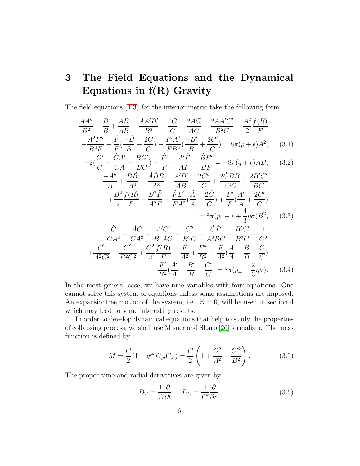# 3 The Field Equations and the Dynamical Equations in f(R) Gravity

The field equations [\(1.3\)](#page-1-0) for the interior metric take the following form

$$
\frac{AA''}{B^2} - \frac{\ddot{B}}{B} + \frac{\dot{A}\dot{B}}{AB} - \frac{AA'B'}{B^3} - \frac{2\ddot{C}}{C} + \frac{2\dot{A}\dot{C}}{AC} + \frac{2AA'C'}{B^2C} - \frac{A^2}{2}\frac{f(R)}{F} - \frac{A^2F''}{B^2F} - \frac{\dot{F}}{F}(\frac{-\dot{B}}{B} + \frac{2\dot{C}}{C}) - \frac{F'A^2}{FB^2}(\frac{-B'}{B} + \frac{2C'}{C}) = 8\pi(\rho + \epsilon)A^2, \quad (3.1)
$$

$$
-2(\frac{\dot{C}'}{C} - \frac{\dot{C}A'}{CA} - \frac{\dot{B}C'}{BC}) - \frac{\dot{F}'}{F} + \frac{A'\dot{F}}{AF} + \frac{\dot{B}F'}{BF} = -8\pi(q + \epsilon)AB, \quad (3.2)
$$

$$
\frac{-A''}{A} + \frac{B\ddot{B}}{A^2} - \frac{\dot{A}\dot{B}B}{A^3} + \frac{A'B'}{AB} - \frac{2C''}{C} + \frac{2\dot{C}\dot{B}B}{A^2C} + \frac{2B'C'}{BC}
$$

$$
+ \frac{B^2}{2}\frac{f(R)}{F} - \frac{B^2\ddot{F}}{A^2F} + \frac{\dot{F}B^2}{FA^2}(\frac{\dot{A}}{A} + \frac{2\dot{C}}{C}) + \frac{F'}{F}(\frac{A'}{A} + \frac{2C'}{C})
$$

$$
-\frac{A^2 F}{A^2 F} + \frac{A^2}{FA^2} (\frac{A}{A} + \frac{C}{C}) + \frac{A}{F} (\frac{A}{A} + \frac{C}{C})
$$

$$
= 8\pi (p_r + \epsilon + \frac{4}{3} \eta \sigma) B^2, \qquad (3.3)
$$

$$
\frac{\ddot{C}}{CA^2} - \frac{\dot{A}\dot{C}}{CA^3} - \frac{A'C'}{B^2AC} - \frac{C''}{B^2C} + \frac{\dot{C}\dot{B}}{A^2BC} + \frac{B'C'}{B^3C} + \frac{1}{C^2} \n+ \frac{\dot{C}^2}{A^2C^2} - \frac{C'^2}{B^2C^2} + \frac{C^2}{2}\frac{f(R)}{F} - \frac{\ddot{F}}{A^2} + \frac{F''}{B^2} + \frac{\dot{F}}{A^2}(\frac{\dot{A}}{A} - \frac{\dot{B}}{B} + \frac{\dot{C}}{C}) \n+ \frac{F'}{B^2}(\frac{A'}{A} - \frac{B'}{B} + \frac{C'}{C}) = 8\pi(p_\perp - \frac{2}{3}\eta\sigma). \quad (3.4)
$$

In the most general case, we have nine variables with four equations. One cannot solve this system of equations unless some assumptions are imposed. An expansion free motion of the system, i.e.,  $\Theta = 0$ , will be used in section 4 which may lead to some interesting results.

In order to develop dynamical equations that help to study the properties of collapsing process, we shall use Misner and Sharp [\[26\]](#page-14-12) formalism. The mass function is defined by

<span id="page-5-0"></span>
$$
M = \frac{C}{2}(1 + g^{\mu\nu}C_{,\mu}C_{,\nu}) = \frac{C}{2}\left(1 + \frac{\dot{C}^2}{A^2} - \frac{C'^2}{B^2}\right). \tag{3.5}
$$

The proper time and radial derivatives are given by

<span id="page-5-1"></span>
$$
D_T = \frac{1}{A} \frac{\partial}{\partial t}, \quad D_C = \frac{1}{C'} \frac{\partial}{\partial r}, \tag{3.6}
$$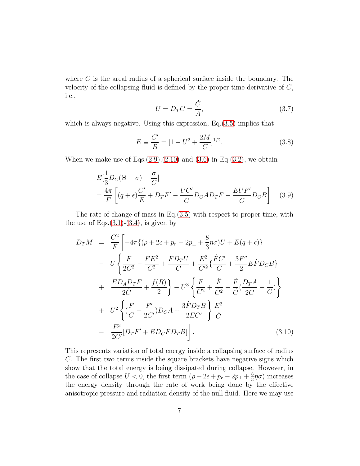where  $C$  is the areal radius of a spherical surface inside the boundary. The velocity of the collapsing fluid is defined by the proper time derivative of  $C$ , i.e.,

<span id="page-6-2"></span>
$$
U = D_T C = \frac{\dot{C}}{A},\tag{3.7}
$$

which is always negative. Using this expression, Eq.  $(3.5)$  implies that

<span id="page-6-0"></span>
$$
E \equiv \frac{C'}{B} = [1 + U^2 + \frac{2M}{C}]^{1/2}.
$$
 (3.8)

When we make use of Eqs. $(2.9),(2.10)$  $(2.9),(2.10)$  $(2.9),(2.10)$  and  $(3.6)$  in Eq. $(3.2)$ , we obtain

<span id="page-6-1"></span>
$$
E\left[\frac{1}{3}D_C(\Theta - \sigma) - \frac{\sigma}{C}\right]
$$
  
=  $\frac{4\pi}{F}\left[ (q + \epsilon)\frac{C'}{E} + D_T F' - \frac{UC'}{C}D_C A D_T F - \frac{EUF'}{C}D_C B \right].$  (3.9)

The rate of change of mass in  $Eq.(3.5)$  $Eq.(3.5)$  with respect to proper time, with the use of Eqs. $(3.1)-(3.4)$  $(3.1)-(3.4)$  $(3.1)-(3.4)$ , is given by

$$
D_{T}M = \frac{C^{2}}{F} \left[ -4\pi \{ (\rho + 2\epsilon + p_{r} - 2p_{\perp} + \frac{8}{3}\eta\sigma)U + E(q + \epsilon) \} \right]
$$
  
\n
$$
- U \left\{ \frac{F}{2C^{2}} - \frac{FE^{2}}{C^{2}} + \frac{FD_{T}U}{C} + \frac{E^{2}}{C'^{2}} \{ \frac{FC'}{C} + \frac{3F''}{2} EF D_{C}B \} \right\}
$$
  
\n
$$
+ \frac{ED_{A}D_{T}F}{2C} + \frac{f(R)}{2} \right\} - U^{3} \left\{ \frac{F}{C^{2}} + \frac{F}{C^{2}} + \frac{F}{C} (\frac{D_{T}A}{2C} - \frac{1}{C}) \right\}
$$
  
\n
$$
+ U^{2} \left\{ (\frac{F}{C} - \frac{F'}{2C'})D_{C}A + \frac{3\dot{F}D_{T}B}{2EC'} \right\} \frac{E^{2}}{C}
$$
  
\n
$$
- \frac{E^{3}}{2C'} [D_{T}F' + ED_{C}FD_{T}B] \right]. \tag{3.10}
$$

This represents variation of total energy inside a collapsing surface of radius C. The first two terms inside the square brackets have negative signs which show that the total energy is being dissipated during collapse. However, in the case of collapse  $U < 0$ , the first term  $(\rho + 2\epsilon + p_r - 2p_\perp + \frac{8}{3})$  $(\frac{8}{3}\eta\sigma)$  increases the energy density through the rate of work being done by the effective anisotropic pressure and radiation density of the null fluid. Here we may use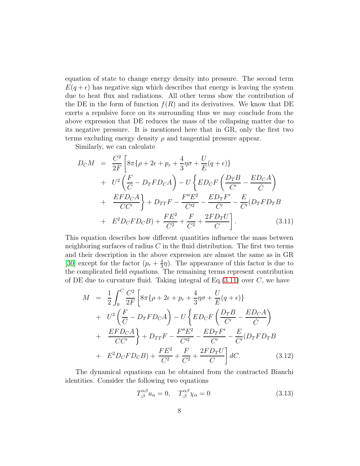equation of state to change energy density into pressure. The second term  $E(q + \epsilon)$  has negative sign which describes that energy is leaving the system due to heat flux and radiations. All other terms show the contribution of the DE in the form of function  $f(R)$  and its derivatives. We know that DE exerts a repulsive force on its surrounding thus we may conclude from the above expression that DE reduces the mass of the collapsing matter due to its negative pressure. It is mentioned here that in GR, only the first two terms excluding energy density  $\rho$  and tangential pressure appear.

Similarly, we can calculate

<span id="page-7-0"></span>
$$
D_{C}M = \frac{C^{2}}{2F} \left[ 8\pi \{ \rho + 2\epsilon + p_{r} + \frac{4}{3}\eta \sigma + \frac{U}{E}(q + \epsilon) \} \right. \n+ U^{2} \left( \frac{F}{C} - D_{T}FD_{C}A \right) - U \left\{ ED_{C}F \left( \frac{D_{T}B}{C'} - \frac{ED_{C}A}{C} \right) \right. \n+ \frac{EFD_{C}A}{CC'} \right\} + D_{TT}F - \frac{F''E^{2}}{C'^{2}} - \frac{ED_{T}F'}{C'} - \frac{E}{C'} (D_{T}FD_{T}B) \n+ E^{2}D_{C}FD_{C}B) + \frac{FE^{2}}{C^{2}} + \frac{F}{C^{2}} + \frac{2FD_{T}U}{C} \right].
$$
\n(3.11)

This equation describes how different quantities influence the mass between neighboring surfaces of radius  $C$  in the fluid distribution. The first two terms and their description in the above expression are almost the same as in GR [\[30\]](#page-14-16) except for the factor  $(p_r + \frac{4}{3})$  $\frac{4}{3}\eta$ ). The appearance of this factor is due to the complicated field equations. The remaining terms represent contribution of DE due to curvature fluid. Taking integral of  $Eq.(3.11)$  $Eq.(3.11)$  over C, we have

$$
M = \frac{1}{2} \int_0^C \frac{C^2}{2F} \left[ 8\pi \{ \rho + 2\epsilon + p_r + \frac{4}{3} \eta \sigma + \frac{U}{E} (q + \epsilon) \} \right. \\ + U^2 \left( \frac{F}{C} - D_T F D_C A \right) - U \left\{ ED_C F \left( \frac{D_T B}{C'} - \frac{ED_C A}{\dot{C}} \right) \right. \\ + \frac{E F D_C A}{C C'} \right\} + D_{TT} F - \frac{F'' E^2}{C'^2} - \frac{ED_T F'}{C'} - \frac{E}{C'} (D_T F D_T B) \\ + E^2 D_C F D_C B) + \frac{FE^2}{C^2} + \frac{F}{C^2} + \frac{2 F D_T U}{C} \right] dC. \tag{3.12}
$$

The dynamical equations can be obtained from the contracted Bianchi identities. Consider the following two equations

$$
T^{\alpha\beta}_{;\beta}u_{\alpha} = 0, \quad T^{\alpha\beta}_{;\beta}\chi_{\alpha} = 0 \tag{3.13}
$$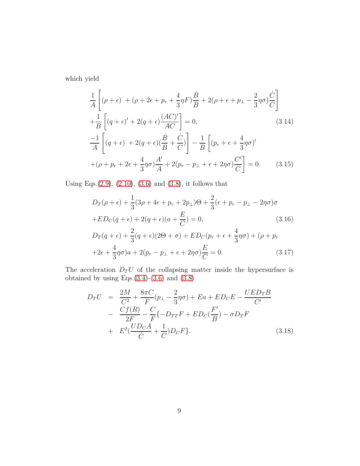which yield

$$
\frac{1}{A}\left[ (\rho + \epsilon) + (\rho + 2\epsilon + p_r + \frac{4}{3}\eta F) \frac{\dot{B}}{B} + 2(\rho + \epsilon + p_\perp - \frac{2}{3}\eta \sigma) \frac{\dot{C}}{C} \right]
$$
\n
$$
+\frac{1}{B}\left[ (q + \epsilon)' + 2(q + \epsilon) \frac{(AC)'}{AC} \right] = 0, \tag{3.14}
$$
\n
$$
\frac{-1}{A}\left[ (q + \epsilon) + 2(q + \epsilon) \frac{\dot{B}}{B} + \frac{\dot{C}}{C} \right] - \frac{1}{B}\left[ (p_r + \epsilon + \frac{4}{3}\eta \sigma)'\right]
$$
\n
$$
+(\rho + p_r + 2\epsilon + \frac{4}{3}\eta \sigma) \frac{A'}{A} + 2(p_r - p_\perp + \epsilon + 2\eta \sigma) \frac{C'}{C} \right] = 0. \tag{3.15}
$$

Using Eqs.[\(2.9\)](#page-4-3), [\(2.10\)](#page-4-4), [\(3.6\)](#page-5-1) and [\(3.8\)](#page-6-0), it follows that

<span id="page-8-1"></span>
$$
D_T(\rho + \epsilon) + \frac{1}{3}(3\rho + 4\epsilon + p_r + 2p_\perp)\Theta + \frac{2}{3}(\epsilon + p_r - p_\perp - 2\eta\sigma)\sigma
$$
  
+
$$
ED_C(q + \epsilon) + 2(q + \epsilon)(a + \frac{E}{C}) = 0,
$$
\n(3.16)  

$$
D_T(q + \epsilon) + \frac{2}{2}(q + \epsilon)(2\Theta + \sigma) + ED_C(p_r + \epsilon + \frac{4}{2}\eta\sigma) + (\rho + p_r)
$$

$$
D_T(q+\epsilon) + \frac{1}{3}(q+\epsilon)(2\Theta + \sigma) + ED_C(p_r + \epsilon + \frac{1}{3}\eta\sigma) + (\rho + p_r
$$
  
+2\epsilon + \frac{4}{3}\eta\sigma)a + 2(p\_r - p\_\perp + \epsilon + 2\eta\sigma)\frac{E}{C} = 0. (3.17)

The acceleration  $D_T U$  of the collapsing matter inside the hypersurface is obtained by using Eqs. $(3.4)-(3.6)$  $(3.4)-(3.6)$  $(3.4)-(3.6)$  and  $(3.8)$ 

<span id="page-8-0"></span>
$$
D_T U = \frac{2M}{C^2} + \frac{8\pi C}{F}(p_\perp - \frac{2}{3}\eta\sigma) + Ea + ED_C E - \frac{UED_T B}{C'}
$$
  
- 
$$
\frac{Cf(R)}{2F} - \frac{C}{F} \{-D_{TT}F + ED_C(\frac{F'}{B}) - \sigma D_T F
$$
  
+ 
$$
E^2(\frac{UD_C A}{C} + \frac{1}{C})D_C F\}.
$$
 (3.18)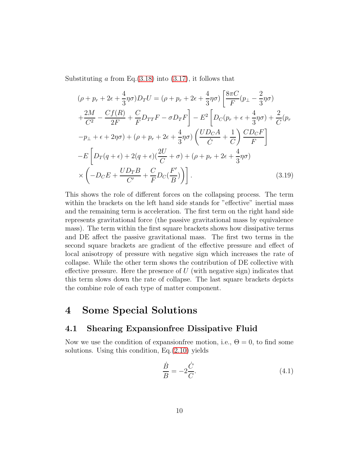Substituting a from Eq. $(3.18)$  into  $(3.17)$ , it follows that

$$
(\rho + p_r + 2\epsilon + \frac{4}{3}\eta\sigma)D_T U = (\rho + p_r + 2\epsilon + \frac{4}{3}\eta\sigma)\left[\frac{8\pi C}{F}(p_\perp - \frac{2}{3}\eta\sigma)\right]
$$
  
+ 
$$
\frac{2M}{C^2} - \frac{Cf(R)}{2F} + \frac{C}{F}D_{TT}F - \sigma D_T F\right] - E^2\left[D_C(p_r + \epsilon + \frac{4}{3}\eta\sigma) + \frac{2}{C}(p_r - p_\perp + \epsilon + 2\eta\sigma) + (\rho + p_r + 2\epsilon + \frac{4}{3}\eta\sigma)\left(\frac{UD_C A}{\dot{C}} + \frac{1}{C}\right)\frac{CD_C F}{F}\right]
$$
  
- 
$$
E\left[D_T(q + \epsilon) + 2(q + \epsilon)(\frac{2U}{C} + \sigma) + (\rho + p_r + 2\epsilon + \frac{4}{3}\eta\sigma)\right]
$$
  

$$
\times \left(-D_C E + \frac{UD_T B}{C'} + \frac{C}{F}D_C(\frac{F'}{B})\right)\right].
$$
 (3.19)

This shows the role of different forces on the collapsing process. The term within the brackets on the left hand side stands for "effective" inertial mass and the remaining term is acceleration. The first term on the right hand side represents gravitational force (the passive gravitational mass by equivalence mass). The term within the first square brackets shows how dissipative terms and DE affect the passive gravitational mass. The first two terms in the second square brackets are gradient of the effective pressure and effect of local anisotropy of pressure with negative sign which increases the rate of collapse. While the other term shows the contribution of DE collective with effective pressure. Here the presence of  $U$  (with negative sign) indicates that this term slows down the rate of collapse. The last square brackets depicts the combine role of each type of matter component.

## 4 Some Special Solutions

### 4.1 Shearing Expansionfree Dissipative Fluid

Now we use the condition of expansion free motion, i.e.,  $\Theta = 0$ , to find some solutions. Using this condition, Eq.[\(2.10\)](#page-4-4) yields

$$
\frac{\dot{B}}{B} = -2\frac{\dot{C}}{C}.\tag{4.1}
$$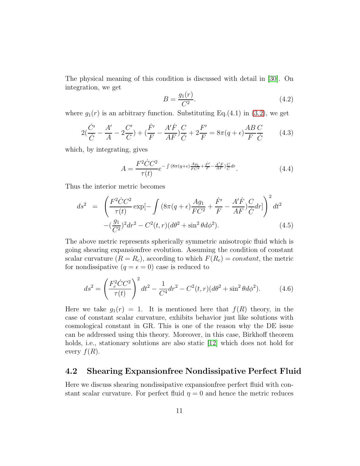The physical meaning of this condition is discussed with detail in [\[30\]](#page-14-16). On integration, we get

$$
B = \frac{g_1(r)}{C^2}.\tag{4.2}
$$

where  $g_1(r)$  is an arbitrary function. Substituting Eq.(4.1) in [\(3.2\)](#page-7-0), we get

$$
2(\frac{\dot{C}'}{\dot{C}} - \frac{A'}{A} - 2\frac{C'}{C}) + (\frac{\dot{F}'}{F} - \frac{A'\dot{F}}{AF})\frac{C}{\dot{C}} + 2\frac{F'}{F} = 8\pi(q + \epsilon)\frac{AB}{F}\frac{C}{\dot{C}}\tag{4.3}
$$

which, by integrating, gives

$$
A = \frac{F^2 \dot{C} C^2}{\tau(t)} e^{-\int (8\pi (q+\epsilon) \frac{Ag_1}{FC^2} + \frac{\dot{F}'}{F} - \frac{A'\dot{F}}{AF}) \frac{C}{C} dr}.
$$
 (4.4)

Thus the interior metric becomes

$$
ds^{2} = \left(\frac{F^{2}\dot{C}C^{2}}{\tau(t)}\exp[-\int (8\pi(q+\epsilon)\frac{Ag_{1}}{FC^{2}} + \frac{\dot{F}'}{F} - \frac{A'\dot{F}}{AF})\frac{C}{\dot{C}}dr]\right)^{2}dt^{2}
$$

$$
-(\frac{g_{1}}{C^{2}})^{2}dr^{2} - C^{2}(t,r)(d\theta^{2} + \sin^{2}\theta d\phi^{2}). \tag{4.5}
$$

The above metric represents spherically symmetric anisotropic fluid which is going shearing expansionfree evolution. Assuming the condition of constant scalar curvature  $(R = R_c)$ , according to which  $F(R_c) = constant$ , the metric for nondissipative  $(q = \epsilon = 0)$  case is reduced to

<span id="page-10-0"></span>
$$
ds^{2} = \left(\frac{F_{c}^{2}\dot{C}C^{2}}{\tau(t)}\right)^{2}dt^{2} - \frac{1}{C^{4}}dr^{2} - C^{2}(t,r)(d\theta^{2} + \sin^{2}\theta d\phi^{2}).
$$
 (4.6)

Here we take  $g_1(r) = 1$ . It is mentioned here that  $f(R)$  theory, in the case of constant scalar curvature, exhibits behavior just like solutions with cosmological constant in GR. This is one of the reason why the DE issue can be addressed using this theory. Moreover, in this case, Birkhoff theorem holds, i.e., stationary solutions are also static [\[12\]](#page-14-1) which does not hold for every  $f(R)$ .

#### 4.2 Shearing Expansionfree Nondissipative Perfect Fluid

Here we discuss shearing nondissipative expansionfree perfect fluid with constant scalar curvature. For perfect fluid  $\eta = 0$  and hence the metric reduces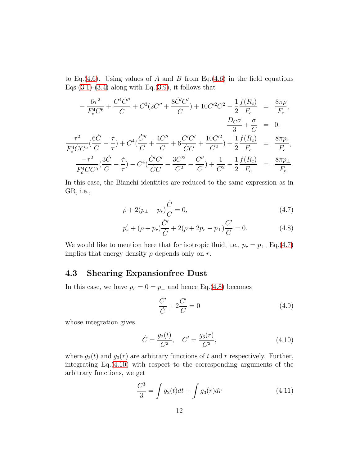to Eq.[\(4.6\)](#page-10-0). Using values of A and B from Eq.(4.6) in the field equations Eqs.[\(3.1\)](#page-7-0)-[\(3.4\)](#page-7-0) along with Eq.[\(3.9\)](#page-6-1), it follows that

$$
-\frac{6\tau^2}{F_c^4C^6} + \frac{C^4\dot{C}''}{\dot{C}} + C^3(2C'' + \frac{8\dot{C}'C'}{\dot{C}}) + 10C'^2C^2 - \frac{1}{2}\frac{f(R_c)}{F_c} = \frac{8\pi\rho}{F_c},
$$
  

$$
\frac{D_C\sigma}{3} + \frac{\sigma}{C} = 0,
$$
  

$$
\frac{\tau^2}{F_c^4\dot{C}C^5}(\frac{6\dot{C}}{C} - \frac{\dot{\tau}}{\tau}) + C^4(\frac{\dot{C}''}{C} + \frac{4C''}{C} + 6\frac{\dot{C}'C'}{\dot{C}C} + \frac{10C'^2}{C^2}) + \frac{1}{2}\frac{f(R_c)}{F_c} = \frac{8\pi p_r}{F_c},
$$
  

$$
\frac{-\tau^2}{F_c^4\dot{C}C^5}(\frac{3\dot{C}}{C} - \frac{\dot{\tau}}{\tau}) - C^4(\frac{\dot{C}'C'}{\dot{C}C} - \frac{3C'^2}{C^2} - \frac{C''}{C}) + \frac{1}{C^2} + \frac{1}{2}\frac{f(R_c)}{F_c} = \frac{8\pi p_\perp}{F_c}.
$$

In this case, the Bianchi identities are reduced to the same expression as in GR, i.e.,

<span id="page-11-0"></span>
$$
\dot{\rho} + 2(p_{\perp} - p_r)\frac{\dot{C}}{C} = 0,\t\t(4.7)
$$

$$
p'_{r} + (\rho + p_{r}) \frac{\dot{C}'}{\dot{C}} + 2(\rho + 2p_{r} - p_{\perp}) \frac{C'}{C} = 0.
$$
 (4.8)

We would like to mention here that for isotropic fluid, i.e.,  $p_r = p_{\perp}$ , Eq.[\(4.7\)](#page-11-0) implies that energy density  $\rho$  depends only on r.

### 4.3 Shearing Expansionfree Dust

In this case, we have  $p_r = 0 = p_\perp$  and hence Eq.[\(4.8\)](#page-11-0) becomes

$$
\frac{\dot{C}'}{\dot{C}} + 2\frac{C'}{C} = 0\tag{4.9}
$$

whose integration gives

<span id="page-11-1"></span>
$$
\dot{C} = \frac{g_2(t)}{C^2}, \quad C' = \frac{g_3(r)}{C^2},\tag{4.10}
$$

where  $g_2(t)$  and  $g_3(r)$  are arbitrary functions of t and r respectively. Further, integrating Eq.[\(4.10\)](#page-11-1) with respect to the corresponding arguments of the arbitrary functions, we get

$$
\frac{C^3}{3} = \int g_2(t)dt + \int g_3(r)dr
$$
\n(4.11)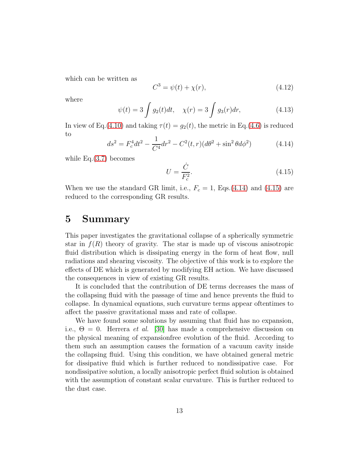which can be written as

$$
C^3 = \psi(t) + \chi(r),
$$
\n(4.12)

where

$$
\psi(t) = 3 \int g_2(t)dt, \quad \chi(r) = 3 \int g_3(r)dr, \tag{4.13}
$$

In view of Eq.[\(4.10\)](#page-11-1) and taking  $\tau(t) = g_2(t)$ , the metric in Eq.[\(4.6\)](#page-10-0) is reduced to

<span id="page-12-0"></span>
$$
ds^{2} = F_{c}^{4}dt^{2} - \frac{1}{C^{4}}dr^{2} - C^{2}(t,r)(d\theta^{2} + \sin^{2}\theta d\phi^{2})
$$
 (4.14)

while  $Eq.(3.7)$  $Eq.(3.7)$  becomes

<span id="page-12-1"></span>
$$
U = \frac{\dot{C}}{F_c^2}.\tag{4.15}
$$

When we use the standard GR limit, i.e.,  $F_c = 1$ , Eqs.[\(4.14\)](#page-12-0) and [\(4.15\)](#page-12-1) are reduced to the corresponding GR results.

## 5 Summary

This paper investigates the gravitational collapse of a spherically symmetric star in  $f(R)$  theory of gravity. The star is made up of viscous anisotropic fluid distribution which is dissipating energy in the form of heat flow, null radiations and shearing viscosity. The objective of this work is to explore the effects of DE which is generated by modifying EH action. We have discussed the consequences in view of existing GR results.

It is concluded that the contribution of DE terms decreases the mass of the collapsing fluid with the passage of time and hence prevents the fluid to collapse. In dynamical equations, such curvature terms appear oftentimes to affect the passive gravitational mass and rate of collapse.

We have found some solutions by assuming that fluid has no expansion, i.e.,  $\Theta = 0$ . Herrera *et al.* [\[30\]](#page-14-16) has made a comprehensive discussion on the physical meaning of expansionfree evolution of the fluid. According to them such an assumption causes the formation of a vacuum cavity inside the collapsing fluid. Using this condition, we have obtained general metric for dissipative fluid which is further reduced to nondissipative case. For nondissipative solution, a locally anisotropic perfect fluid solution is obtained with the assumption of constant scalar curvature. This is further reduced to the dust case.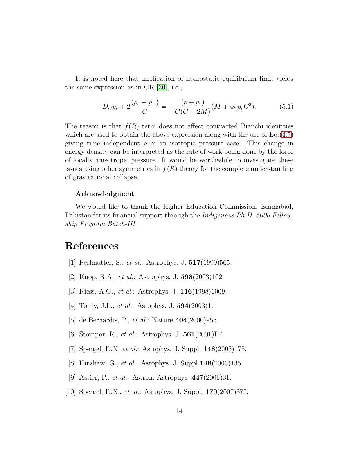It is noted here that implication of hydrostatic equilibrium limit yields the same expression as in GR [\[30\]](#page-14-16), i.e.,

$$
D_C p_r + 2\frac{(p_r - p_\perp)}{C} = -\frac{(\rho + p_r)}{C(C - 2M)}(M + 4\pi p_r C^3). \tag{5.1}
$$

The reason is that  $f(R)$  term does not affect contracted Bianchi identities which are used to obtain the above expression along with the use of  $Eq.(4.7)$  $Eq.(4.7)$ giving time independent  $\rho$  in an isotropic pressure case. This change in energy density can be interpreted as the rate of work being done by the force of locally anisotropic pressure. It would be worthwhile to investigate these issues using other symmetries in  $f(R)$  theory for the complete understanding of gravitational collapse.

#### Acknowledgment

We would like to thank the Higher Education Commission, Islamabad, Pakistan for its financial support through the *Indigenous Ph.D.* 5000 Fellowship Program Batch-III.

## <span id="page-13-0"></span>References

- [1] Perlmutter, S., *et al.*: Astrophys. J. **517**(1999)565.
- [2] Knop, R.A., et al.: Astrophys. J. 598(2003)102.
- [3] Riess, A.G., et al.: Astrophys. J. 116(1998)1009.
- [4] Tonry, J.L., et al.: Astophys. J. 594(2003)1.
- [5] de Bernardis, P., *et al.*: Nature **404**(2000)955.
- [6] Stompor, R., *et al.*: Astrophys. J.  $\mathbf{561}(2001) \text{L7}$ .
- [7] Spergel, D.N. et al.: Astophys. J. Suppl. 148(2003)175.
- [8] Hinshaw, G., *et al.*: Astophys. J. Suppl. **148**(2003) 135.
- [9] Astier, P., et al.: Astron. Astrophys. 447(2006)31.
- [10] Spergel, D.N., *et al.*: Astophys. J. Suppl. **170**(2007)377.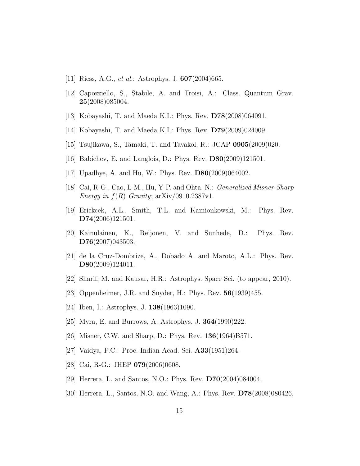- <span id="page-14-1"></span><span id="page-14-0"></span>[11] Riess, A.G., *et al.*: Astrophys. J.  $607(2004)665$ .
- <span id="page-14-2"></span>[12] Capozziello, S., Stabile, A. and Troisi, A.: Class. Quantum Grav. 25(2008)085004.
- [13] Kobayashi, T. and Maeda K.I.: Phys. Rev. D78(2008)064091.
- [14] Kobayashi, T. and Maeda K.I.: Phys. Rev. D79(2009)024009.
- [15] Tsujikawa, S., Tamaki, T. and Tavakol, R.: JCAP 0905(2009)020.
- <span id="page-14-3"></span>[16] Babichev, E. and Langlois, D.: Phys. Rev. **D80**(2009)121501.
- <span id="page-14-4"></span>[17] Upadhye, A. and Hu, W.: Phys. Rev. D80(2009)064002.
- <span id="page-14-5"></span>[18] Cai, R-G., Cao, L-M., Hu, Y-P. and Ohta, N.: Generalized Misner-Sharp Energy in  $f(R)$  Gravity; arXiv/0910.2387v1.
- <span id="page-14-6"></span>[19] Erickcek, A.L., Smith, T.L. and Kamionkowski, M.: Phys. Rev. D74(2006)121501.
- <span id="page-14-7"></span>[20] Kainulainen, K., Reijonen, V. and Sunhede, D.: Phys. Rev. D76(2007)043503.
- <span id="page-14-8"></span>[21] de la Cruz-Dombrize, A., Dobado A. and Maroto, A.L.: Phys. Rev. D80(2009)124011.
- <span id="page-14-9"></span>[22] Sharif, M. and Kausar, H.R.: Astrophys. Space Sci. (to appear, 2010).
- <span id="page-14-10"></span>[23] Oppenheimer, J.R. and Snyder, H.: Phys. Rev. 56(1939)455.
- <span id="page-14-11"></span>[24] Iben, I.: Astrophys. J. **138**(1963)1090.
- <span id="page-14-12"></span>[25] Myra, E. and Burrows, A: Astrophys. J. 364(1990)222.
- <span id="page-14-13"></span>[26] Misner, C.W. and Sharp, D.: Phys. Rev. 136(1964)B571.
- <span id="page-14-14"></span>[27] Vaidya, P.C.: Proc. Indian Acad. Sci. A33(1951)264.
- <span id="page-14-15"></span>[28] Cai, R-G.: JHEP **079**(2006)0608.
- <span id="page-14-16"></span>[29] Herrera, L. and Santos, N.O.: Phys. Rev. D70(2004)084004.
- [30] Herrera, L., Santos, N.O. and Wang, A.: Phys. Rev. D78(2008)080426.